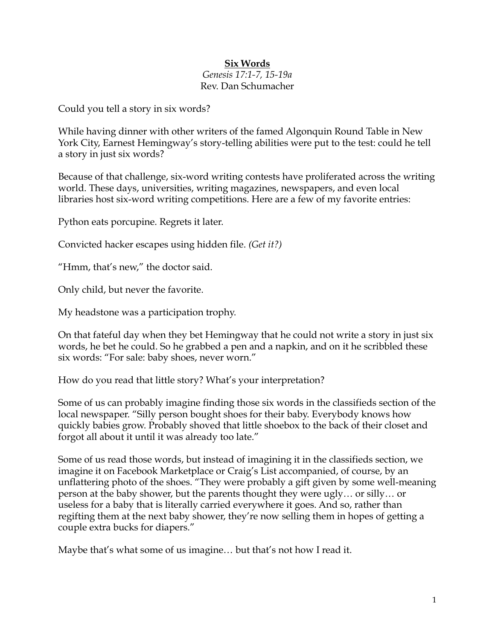## **Six Words**

## *Genesis 17:1-7, 15-19a* Rev. Dan Schumacher

Could you tell a story in six words?

While having dinner with other writers of the famed Algonquin Round Table in New York City, Earnest Hemingway's story-telling abilities were put to the test: could he tell a story in just six words?

Because of that challenge, six-word writing contests have proliferated across the writing world. These days, universities, writing magazines, newspapers, and even local libraries host six-word writing competitions. Here are a few of my favorite entries:

Python eats porcupine. Regrets it later.

Convicted hacker escapes using hidden file. *(Get it?)*

"Hmm, that's new," the doctor said.

Only child, but never the favorite.

My headstone was a participation trophy.

On that fateful day when they bet Hemingway that he could not write a story in just six words, he bet he could. So he grabbed a pen and a napkin, and on it he scribbled these six words: "For sale: baby shoes, never worn."

How do you read that little story? What's your interpretation?

Some of us can probably imagine finding those six words in the classifieds section of the local newspaper. "Silly person bought shoes for their baby. Everybody knows how quickly babies grow. Probably shoved that little shoebox to the back of their closet and forgot all about it until it was already too late."

Some of us read those words, but instead of imagining it in the classifieds section, we imagine it on Facebook Marketplace or Craig's List accompanied, of course, by an unflattering photo of the shoes. "They were probably a gift given by some well-meaning person at the baby shower, but the parents thought they were ugly… or silly… or useless for a baby that is literally carried everywhere it goes. And so, rather than regifting them at the next baby shower, they're now selling them in hopes of getting a couple extra bucks for diapers."

Maybe that's what some of us imagine… but that's not how I read it.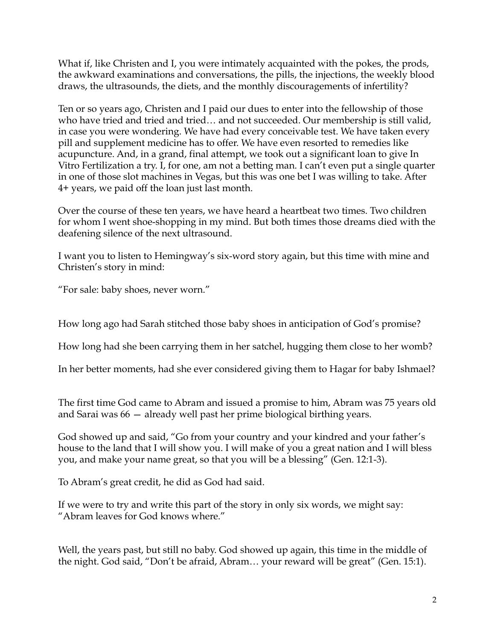What if, like Christen and I, you were intimately acquainted with the pokes, the prods, the awkward examinations and conversations, the pills, the injections, the weekly blood draws, the ultrasounds, the diets, and the monthly discouragements of infertility?

Ten or so years ago, Christen and I paid our dues to enter into the fellowship of those who have tried and tried and tried… and not succeeded. Our membership is still valid, in case you were wondering. We have had every conceivable test. We have taken every pill and supplement medicine has to offer. We have even resorted to remedies like acupuncture. And, in a grand, final attempt, we took out a significant loan to give In Vitro Fertilization a try. I, for one, am not a betting man. I can't even put a single quarter in one of those slot machines in Vegas, but this was one bet I was willing to take. After 4+ years, we paid off the loan just last month.

Over the course of these ten years, we have heard a heartbeat two times. Two children for whom I went shoe-shopping in my mind. But both times those dreams died with the deafening silence of the next ultrasound.

I want you to listen to Hemingway's six-word story again, but this time with mine and Christen's story in mind:

"For sale: baby shoes, never worn."

How long ago had Sarah stitched those baby shoes in anticipation of God's promise?

How long had she been carrying them in her satchel, hugging them close to her womb?

In her better moments, had she ever considered giving them to Hagar for baby Ishmael?

The first time God came to Abram and issued a promise to him, Abram was 75 years old and Sarai was 66 — already well past her prime biological birthing years.

God showed up and said, "Go from your country and your kindred and your father's house to the land that I will show you. I will make of you a great nation and I will bless you, and make your name great, so that you will be a blessing" (Gen. 12:1-3).

To Abram's great credit, he did as God had said.

If we were to try and write this part of the story in only six words, we might say: "Abram leaves for God knows where."

Well, the years past, but still no baby. God showed up again, this time in the middle of the night. God said, "Don't be afraid, Abram… your reward will be great" (Gen. 15:1).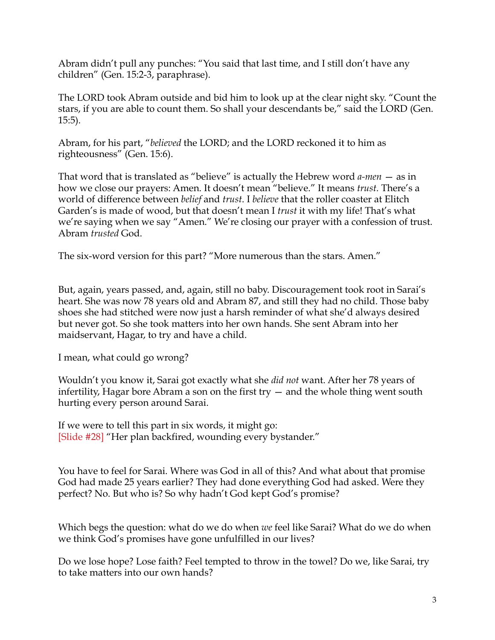Abram didn't pull any punches: "You said that last time, and I still don't have any children" (Gen. 15:2-3, paraphrase).

The LORD took Abram outside and bid him to look up at the clear night sky. "Count the stars, if you are able to count them. So shall your descendants be," said the LORD (Gen. 15:5).

Abram, for his part, "*believed* the LORD; and the LORD reckoned it to him as righteousness" (Gen. 15:6).

That word that is translated as "believe" is actually the Hebrew word *a-men* — as in how we close our prayers: Amen. It doesn't mean "believe." It means *trust.* There's a world of difference between *belief* and *trust*. I *believe* that the roller coaster at Elitch Garden's is made of wood, but that doesn't mean I *trust* it with my life! That's what we're saying when we say "Amen." We're closing our prayer with a confession of trust. Abram *trusted* God.

The six-word version for this part? "More numerous than the stars. Amen."

But, again, years passed, and, again, still no baby. Discouragement took root in Sarai's heart. She was now 78 years old and Abram 87, and still they had no child. Those baby shoes she had stitched were now just a harsh reminder of what she'd always desired but never got. So she took matters into her own hands. She sent Abram into her maidservant, Hagar, to try and have a child.

I mean, what could go wrong?

Wouldn't you know it, Sarai got exactly what she *did not* want. After her 78 years of infertility, Hagar bore Abram a son on the first try  $-$  and the whole thing went south hurting every person around Sarai.

If we were to tell this part in six words, it might go: [Slide #28] "Her plan backfired, wounding every bystander."

You have to feel for Sarai. Where was God in all of this? And what about that promise God had made 25 years earlier? They had done everything God had asked. Were they perfect? No. But who is? So why hadn't God kept God's promise?

Which begs the question: what do we do when *we* feel like Sarai? What do we do when we think God's promises have gone unfulfilled in our lives?

Do we lose hope? Lose faith? Feel tempted to throw in the towel? Do we, like Sarai, try to take matters into our own hands?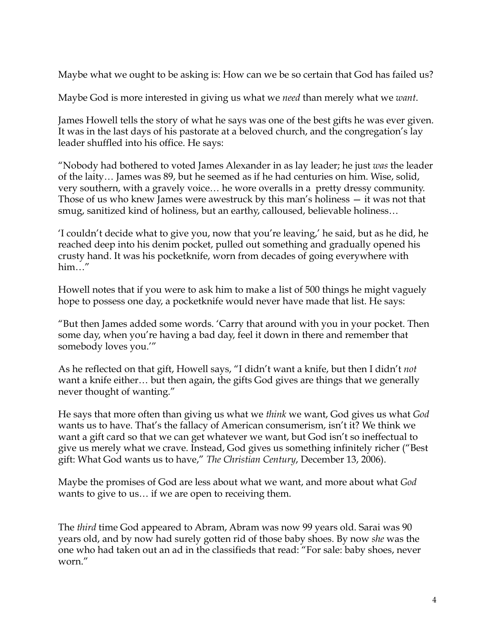Maybe what we ought to be asking is: How can we be so certain that God has failed us?

Maybe God is more interested in giving us what we *need* than merely what we *want*.

James Howell tells the story of what he says was one of the best gifts he was ever given. It was in the last days of his pastorate at a beloved church, and the congregation's lay leader shuffled into his office. He says:

"Nobody had bothered to voted James Alexander in as lay leader; he just *was* the leader of the laity… James was 89, but he seemed as if he had centuries on him. Wise, solid, very southern, with a gravely voice… he wore overalls in a pretty dressy community. Those of us who knew James were awestruck by this man's holiness — it was not that smug, sanitized kind of holiness, but an earthy, calloused, believable holiness…

'I couldn't decide what to give you, now that you're leaving,' he said, but as he did, he reached deep into his denim pocket, pulled out something and gradually opened his crusty hand. It was his pocketknife, worn from decades of going everywhere with him…"

Howell notes that if you were to ask him to make a list of 500 things he might vaguely hope to possess one day, a pocketknife would never have made that list. He says:

"But then James added some words. 'Carry that around with you in your pocket. Then some day, when you're having a bad day, feel it down in there and remember that somebody loves you.'"

As he reflected on that gift, Howell says, "I didn't want a knife, but then I didn't *not* want a knife either… but then again, the gifts God gives are things that we generally never thought of wanting."

He says that more often than giving us what we *think* we want, God gives us what *God* wants us to have. That's the fallacy of American consumerism, isn't it? We think we want a gift card so that we can get whatever we want, but God isn't so ineffectual to give us merely what we crave. Instead, God gives us something infinitely richer ("Best gift: What God wants us to have," *The Christian Century*, December 13, 2006).

Maybe the promises of God are less about what we want, and more about what *God* wants to give to us… if we are open to receiving them.

The *third* time God appeared to Abram, Abram was now 99 years old. Sarai was 90 years old, and by now had surely gotten rid of those baby shoes. By now *she* was the one who had taken out an ad in the classifieds that read: "For sale: baby shoes, never worn."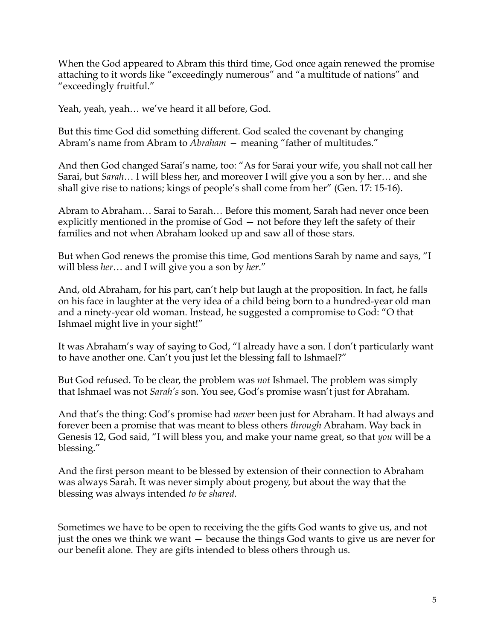When the God appeared to Abram this third time, God once again renewed the promise attaching to it words like "exceedingly numerous" and "a multitude of nations" and "exceedingly fruitful."

Yeah, yeah, yeah… we've heard it all before, God.

But this time God did something different. God sealed the covenant by changing Abram's name from Abram to *Abraham —* meaning "father of multitudes."

And then God changed Sarai's name, too: "As for Sarai your wife, you shall not call her Sarai, but *Sarah*… I will bless her, and moreover I will give you a son by her… and she shall give rise to nations; kings of people's shall come from her" (Gen. 17: 15-16).

Abram to Abraham… Sarai to Sarah… Before this moment, Sarah had never once been explicitly mentioned in the promise of God — not before they left the safety of their families and not when Abraham looked up and saw all of those stars.

But when God renews the promise this time, God mentions Sarah by name and says, "I will bless *her*… and I will give you a son by *her*."

And, old Abraham, for his part, can't help but laugh at the proposition. In fact, he falls on his face in laughter at the very idea of a child being born to a hundred-year old man and a ninety-year old woman. Instead, he suggested a compromise to God: "O that Ishmael might live in your sight!"

It was Abraham's way of saying to God, "I already have a son. I don't particularly want to have another one. Can't you just let the blessing fall to Ishmael?"

But God refused. To be clear, the problem was *not* Ishmael. The problem was simply that Ishmael was not *Sarah's* son. You see, God's promise wasn't just for Abraham.

And that's the thing: God's promise had *never* been just for Abraham. It had always and forever been a promise that was meant to bless others *through* Abraham. Way back in Genesis 12, God said, "I will bless you, and make your name great, so that *you* will be a blessing."

And the first person meant to be blessed by extension of their connection to Abraham was always Sarah. It was never simply about progeny, but about the way that the blessing was always intended *to be shared*.

Sometimes we have to be open to receiving the the gifts God wants to give us, and not just the ones we think we want — because the things God wants to give us are never for our benefit alone. They are gifts intended to bless others through us.